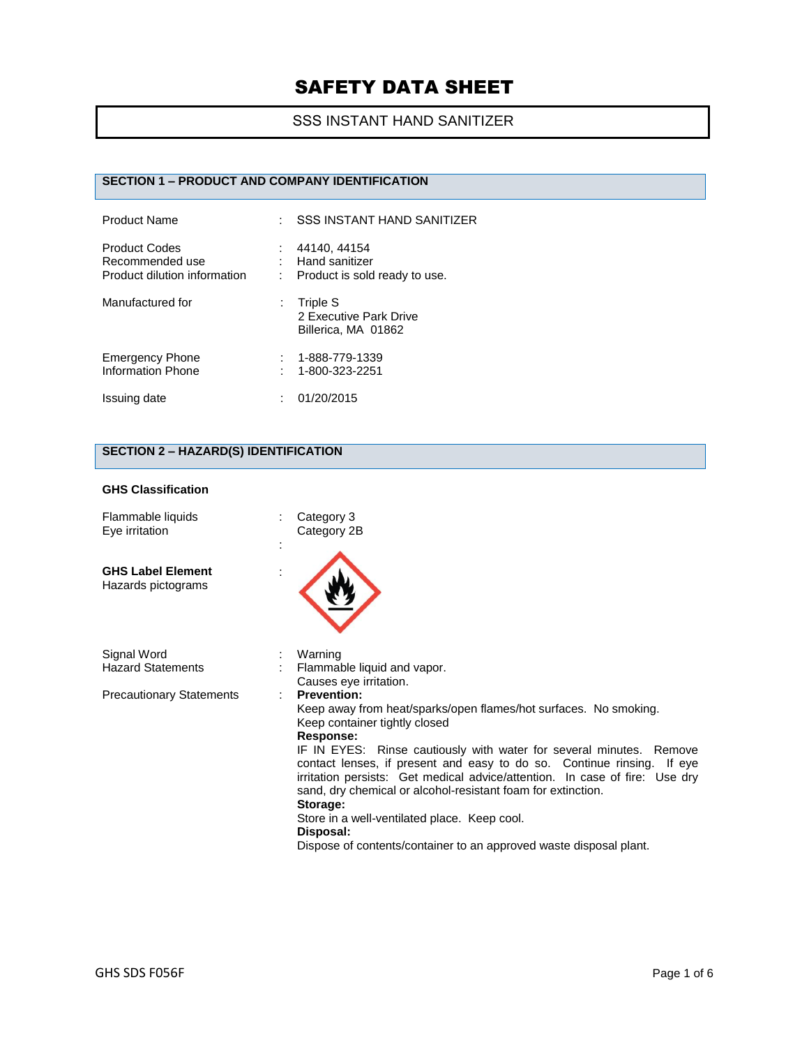## SSS INSTANT HAND SANITIZER

## **SECTION 1 – PRODUCT AND COMPANY IDENTIFICATION**

| <b>Product Name</b>                                                     |   | <b>SSS INSTANT HAND SANITIZER</b>                               |
|-------------------------------------------------------------------------|---|-----------------------------------------------------------------|
| <b>Product Codes</b><br>Recommended use<br>Product dilution information | ÷ | 44140, 44154<br>Hand sanitizer<br>Product is sold ready to use. |
| Manufactured for                                                        |   | Triple S<br>2 Executive Park Drive<br>Billerica, MA 01862       |
| <b>Emergency Phone</b><br>Information Phone                             |   | 1-888-779-1339<br>1-800-323-2251                                |
| Issuing date                                                            |   | 01/20/2015                                                      |

## **SECTION 2 – HAZARD(S) IDENTIFICATION**

#### **GHS Classification**

| Flammable liquids<br>Eye irritation            | Category 3<br>Category 2B                                                                                                                                                                                                                                                                                                                                                                                                                                                                                                                                                           |
|------------------------------------------------|-------------------------------------------------------------------------------------------------------------------------------------------------------------------------------------------------------------------------------------------------------------------------------------------------------------------------------------------------------------------------------------------------------------------------------------------------------------------------------------------------------------------------------------------------------------------------------------|
| <b>GHS Label Element</b><br>Hazards pictograms |                                                                                                                                                                                                                                                                                                                                                                                                                                                                                                                                                                                     |
| Signal Word<br><b>Hazard Statements</b>        | Warning<br>Flammable liquid and vapor.<br>Causes eye irritation.                                                                                                                                                                                                                                                                                                                                                                                                                                                                                                                    |
| <b>Precautionary Statements</b>                | <b>Prevention:</b><br>Keep away from heat/sparks/open flames/hot surfaces. No smoking.<br>Keep container tightly closed<br>Response:<br>IF IN EYES: Rinse cautiously with water for several minutes. Remove<br>contact lenses, if present and easy to do so. Continue rinsing. If eye<br>irritation persists: Get medical advice/attention. In case of fire: Use dry<br>sand, dry chemical or alcohol-resistant foam for extinction.<br>Storage:<br>Store in a well-ventilated place. Keep cool.<br>Disposal:<br>Dispose of contents/container to an approved waste disposal plant. |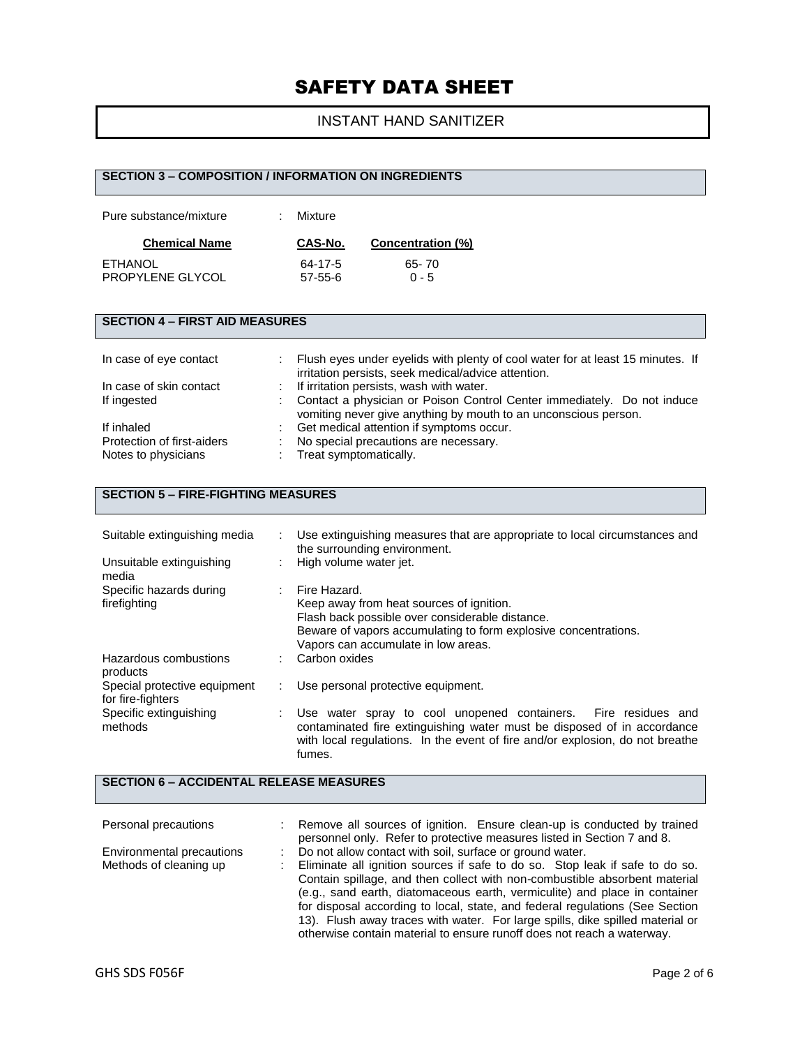## INSTANT HAND SANITIZER

| <b>SECTION 3 - COMPOSITION / INFORMATION ON INGREDIENTS</b> |         |                                                                                                                                            |  |  |
|-------------------------------------------------------------|---------|--------------------------------------------------------------------------------------------------------------------------------------------|--|--|
| Pure substance/mixture                                      | Mixture |                                                                                                                                            |  |  |
| <b>Chemical Name</b>                                        | CAS-No. | Concentration (%)                                                                                                                          |  |  |
| <b>ETHANOL</b>                                              | 64-17-5 | 65-70                                                                                                                                      |  |  |
| PROPYLENE GLYCOL                                            | 57-55-6 | $0 - 5$                                                                                                                                    |  |  |
|                                                             |         |                                                                                                                                            |  |  |
| <b>SECTION 4 - FIRST AID MEASURES</b>                       |         |                                                                                                                                            |  |  |
| In case of eye contact                                      |         | Flush eyes under eyelids with plenty of cool water for at least 15 minutes. If<br>irritation persists, seek medical/advice attention.      |  |  |
| In case of skin contact                                     |         | If irritation persists, wash with water.                                                                                                   |  |  |
| If ingested                                                 |         | Contact a physician or Poison Control Center immediately. Do not induce<br>vomiting never give anything by mouth to an unconscious person. |  |  |
| If inhaled                                                  |         | Get medical attention if symptoms occur.                                                                                                   |  |  |
| Protection of first-aiders                                  |         | No special precautions are necessary.                                                                                                      |  |  |
| Notes to physicians                                         |         | Treat symptomatically.                                                                                                                     |  |  |

## **SECTION 5 – FIRE-FIGHTING MEASURES**

| Suitable extinguishing media                      | $\mathbb{Z}^{\mathbb{Z}}$ | Use extinguishing measures that are appropriate to local circumstances and<br>the surrounding environment.                                                                                                                           |
|---------------------------------------------------|---------------------------|--------------------------------------------------------------------------------------------------------------------------------------------------------------------------------------------------------------------------------------|
| Unsuitable extinguishing<br>media                 |                           | High volume water jet.                                                                                                                                                                                                               |
| Specific hazards during<br>firefighting           |                           | : Fire Hazard.<br>Keep away from heat sources of ignition.<br>Flash back possible over considerable distance.<br>Beware of vapors accumulating to form explosive concentrations.<br>Vapors can accumulate in low areas.              |
| Hazardous combustions<br>products                 |                           | Carbon oxides                                                                                                                                                                                                                        |
| Special protective equipment<br>for fire-fighters |                           | Use personal protective equipment.                                                                                                                                                                                                   |
| Specific extinguishing<br>methods                 |                           | Use water spray to cool unopened containers. Fire residues and<br>contaminated fire extinguishing water must be disposed of in accordance<br>with local regulations. In the event of fire and/or explosion, do not breathe<br>fumes. |

## **SECTION 6 – ACCIDENTAL RELEASE MEASURES**

| Personal precautions                                | Remove all sources of ignition. Ensure clean-up is conducted by trained<br>personnel only. Refer to protective measures listed in Section 7 and 8.                                                                                       |
|-----------------------------------------------------|------------------------------------------------------------------------------------------------------------------------------------------------------------------------------------------------------------------------------------------|
| Environmental precautions<br>Methods of cleaning up | Do not allow contact with soil, surface or ground water.<br>Eliminate all ignition sources if safe to do so. Stop leak if safe to do so.                                                                                                 |
|                                                     | Contain spillage, and then collect with non-combustible absorbent material<br>(e.g., sand earth, diatomaceous earth, vermiculite) and place in container<br>for disposal according to local, state, and federal regulations (See Section |
|                                                     | 13). Flush away traces with water. For large spills, dike spilled material or<br>otherwise contain material to ensure runoff does not reach a waterway.                                                                                  |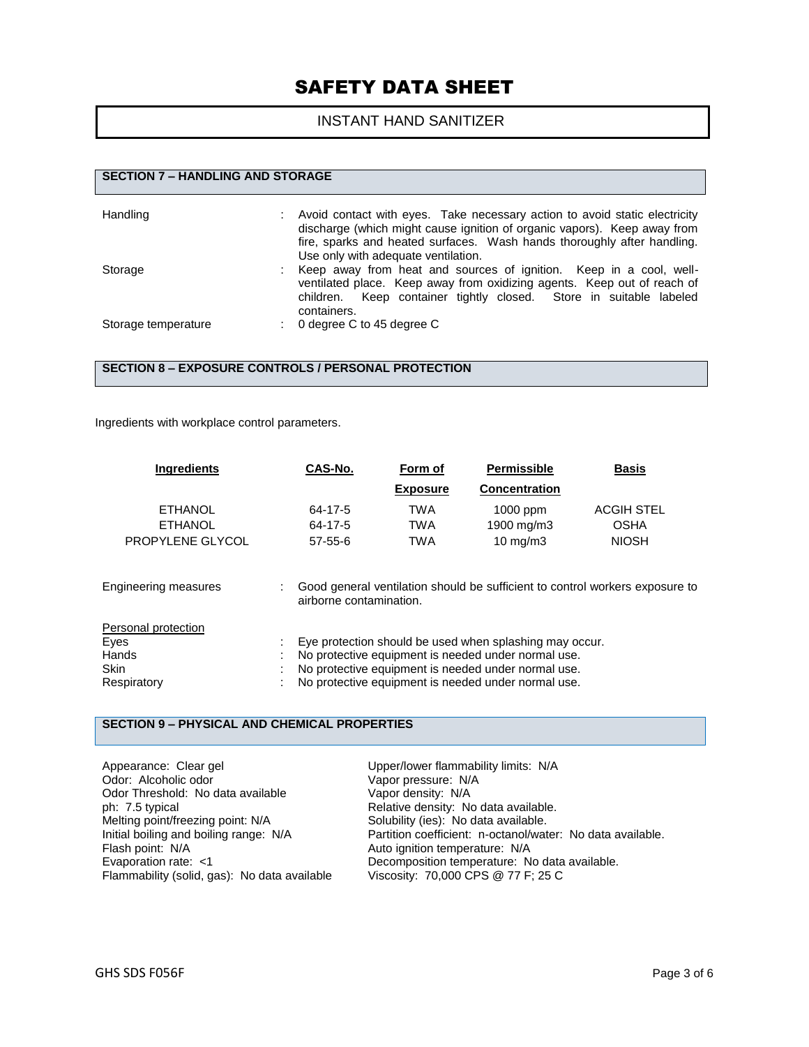## INSTANT HAND SANITIZER

| <b>SECTION 7 - HANDLING AND STORAGE</b> |  |                                                                                                                                                                                                                                                                          |
|-----------------------------------------|--|--------------------------------------------------------------------------------------------------------------------------------------------------------------------------------------------------------------------------------------------------------------------------|
| Handling                                |  | Avoid contact with eyes. Take necessary action to avoid static electricity<br>discharge (which might cause ignition of organic vapors). Keep away from<br>fire, sparks and heated surfaces. Wash hands thoroughly after handling.<br>Use only with adequate ventilation. |
| Storage                                 |  | Keep away from heat and sources of ignition. Keep in a cool, well-<br>ventilated place. Keep away from oxidizing agents. Keep out of reach of<br>children. Keep container tightly closed. Store in suitable labeled<br>containers.                                       |
| Storage temperature                     |  | 0 degree C to 45 degree C                                                                                                                                                                                                                                                |

#### **SECTION 8 – EXPOSURE CONTROLS / PERSONAL PROTECTION**

Ingredients with workplace control parameters.

| <b>Ingredients</b>                                                 | CAS-No.                             | Form of                                | <b>Permissible</b>                                                                                                                                                                                                           | <b>Basis</b>                                                                 |
|--------------------------------------------------------------------|-------------------------------------|----------------------------------------|------------------------------------------------------------------------------------------------------------------------------------------------------------------------------------------------------------------------------|------------------------------------------------------------------------------|
|                                                                    |                                     | <b>Exposure</b>                        | <b>Concentration</b>                                                                                                                                                                                                         |                                                                              |
| <b>ETHANOL</b><br><b>ETHANOL</b><br>PROPYLENE GLYCOL               | 64-17-5<br>64-17-5<br>$57 - 55 - 6$ | <b>TWA</b><br><b>TWA</b><br><b>TWA</b> | $1000$ ppm<br>1900 mg/m3<br>$10 \text{ mg/m}$                                                                                                                                                                                | <b>ACGIH STEL</b><br><b>OSHA</b><br><b>NIOSH</b>                             |
| <b>Engineering measures</b>                                        | airborne contamination.             |                                        |                                                                                                                                                                                                                              | Good general ventilation should be sufficient to control workers exposure to |
| Personal protection<br>Eyes<br>Hands<br><b>Skin</b><br>Respiratory |                                     |                                        | Eye protection should be used when splashing may occur.<br>No protective equipment is needed under normal use.<br>No protective equipment is needed under normal use.<br>No protective equipment is needed under normal use. |                                                                              |

### **SECTION 9 – PHYSICAL AND CHEMICAL PROPERTIES**

| Upper/lower flammability limits: N/A                       |
|------------------------------------------------------------|
| Vapor pressure: N/A                                        |
| Vapor density: N/A                                         |
| Relative density: No data available.                       |
| Solubility (ies): No data available.                       |
| Partition coefficient: n-octanol/water: No data available. |
| Auto ignition temperature: N/A                             |
| Decomposition temperature: No data available.              |
| Viscosity: 70,000 CPS @ 77 F; 25 C                         |
|                                                            |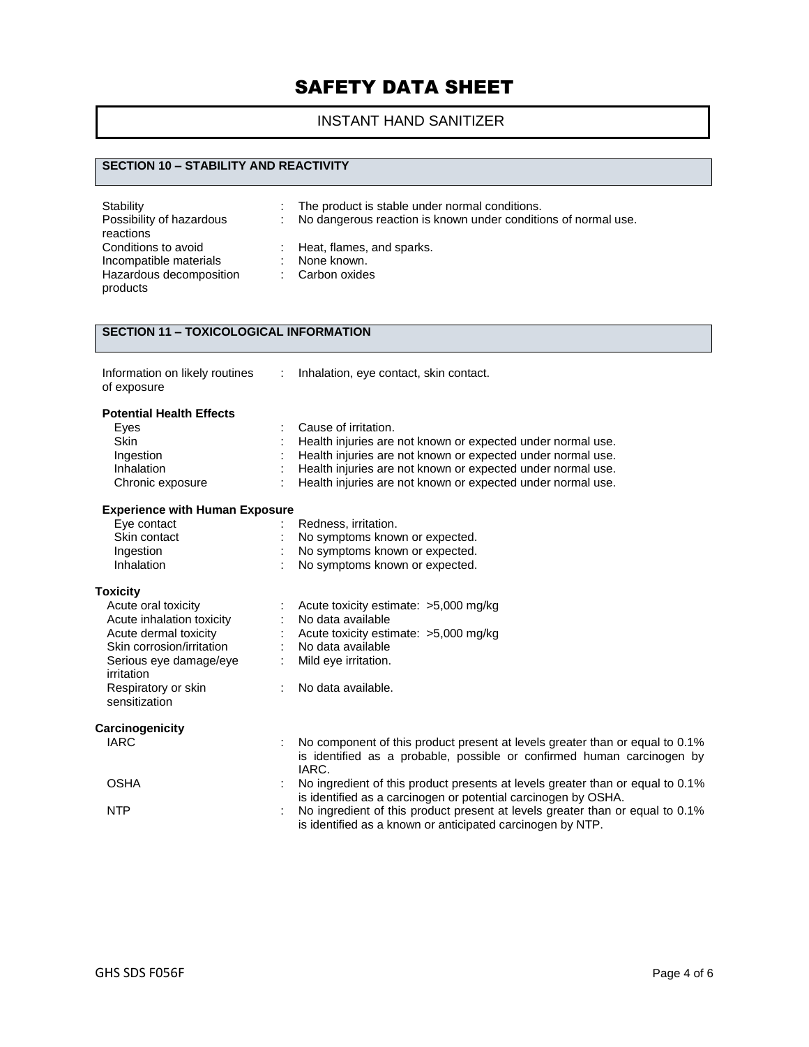## INSTANT HAND SANITIZER

### **SECTION 10 – STABILITY AND REACTIVITY**

| Stability<br>Possibility of hazardous<br>reactions | ÷. | The product is stable under normal conditions.<br>: No dangerous reaction is known under conditions of normal use. |
|----------------------------------------------------|----|--------------------------------------------------------------------------------------------------------------------|
| Conditions to avoid                                |    | $\therefore$ Heat, flames, and sparks.                                                                             |
| Incompatible materials                             |    | None known.                                                                                                        |
| Hazardous decomposition<br>products                |    | : Carbon oxides                                                                                                    |

### **SECTION 11 – TOXICOLOGICAL INFORMATION**

| Information on likely routines | ٠<br>٠ |  |
|--------------------------------|--------|--|
| of exposure                    |        |  |

: Inhalation, eye contact, skin contact.

#### **Potential Health Effects**

| Eyes                                  | Cause of irritation.                                                                                                                        |
|---------------------------------------|---------------------------------------------------------------------------------------------------------------------------------------------|
| <b>Skin</b>                           | Health injuries are not known or expected under normal use.                                                                                 |
| Ingestion                             | Health injuries are not known or expected under normal use.                                                                                 |
| Inhalation                            | Health injuries are not known or expected under normal use.                                                                                 |
| Chronic exposure                      | Health injuries are not known or expected under normal use.                                                                                 |
| <b>Experience with Human Exposure</b> |                                                                                                                                             |
| Eye contact                           | Redness, irritation.                                                                                                                        |
| Skin contact                          | No symptoms known or expected.                                                                                                              |
| Ingestion                             | No symptoms known or expected.                                                                                                              |
| Inhalation                            | No symptoms known or expected.                                                                                                              |
| <b>Toxicity</b>                       |                                                                                                                                             |
| Acute oral toxicity                   | Acute toxicity estimate: >5,000 mg/kg                                                                                                       |
| Acute inhalation toxicity             | No data available                                                                                                                           |
| Acute dermal toxicity                 | Acute toxicity estimate: >5,000 mg/kg                                                                                                       |
| Skin corrosion/irritation             | No data available                                                                                                                           |
| Serious eye damage/eye<br>irritation  | Mild eye irritation.                                                                                                                        |
| Respiratory or skin<br>sensitization  | No data available.                                                                                                                          |
| Carcinogenicity                       |                                                                                                                                             |
| <b>IARC</b>                           | No component of this product present at levels greater than or equal to 0.1%                                                                |
|                                       | is identified as a probable, possible or confirmed human carcinogen by<br>IARC.                                                             |
| <b>OSHA</b>                           | No ingredient of this product presents at levels greater than or equal to 0.1%                                                              |
|                                       | is identified as a carcinogen or potential carcinogen by OSHA.                                                                              |
| <b>NTP</b>                            | No ingredient of this product present at levels greater than or equal to 0.1%<br>is identified as a known or anticipated carcinogen by NTP. |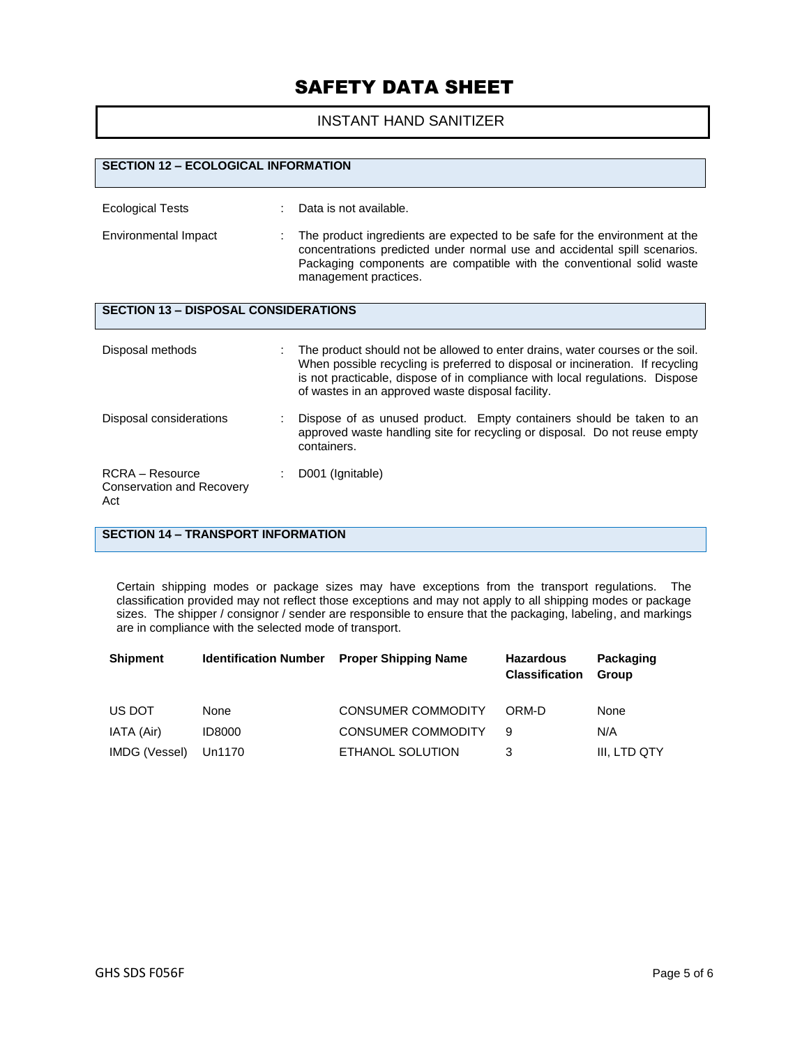### INSTANT HAND SANITIZER

| <b>SECTION 12 - ECOLOGICAL INFORMATION</b>                 |                                                                                                                                                                                                                                                                                                      |
|------------------------------------------------------------|------------------------------------------------------------------------------------------------------------------------------------------------------------------------------------------------------------------------------------------------------------------------------------------------------|
| <b>Ecological Tests</b>                                    | Data is not available.                                                                                                                                                                                                                                                                               |
| Environmental Impact                                       | The product ingredients are expected to be safe for the environment at the<br>concentrations predicted under normal use and accidental spill scenarios.<br>Packaging components are compatible with the conventional solid waste<br>management practices.                                            |
| <b>SECTION 13 - DISPOSAL CONSIDERATIONS</b>                |                                                                                                                                                                                                                                                                                                      |
| Disposal methods                                           | The product should not be allowed to enter drains, water courses or the soil.<br>When possible recycling is preferred to disposal or incineration. If recycling<br>is not practicable, dispose of in compliance with local regulations. Dispose<br>of wastes in an approved waste disposal facility. |
| Disposal considerations                                    | Dispose of as unused product. Empty containers should be taken to an<br>approved waste handling site for recycling or disposal. Do not reuse empty<br>containers.                                                                                                                                    |
| RCRA - Resource<br><b>Conservation and Recovery</b><br>Act | D001 (Ignitable)                                                                                                                                                                                                                                                                                     |

## **SECTION 14 – TRANSPORT INFORMATION**

Certain shipping modes or package sizes may have exceptions from the transport regulations. The classification provided may not reflect those exceptions and may not apply to all shipping modes or package sizes. The shipper / consignor / sender are responsible to ensure that the packaging, labeling, and markings are in compliance with the selected mode of transport.

| <b>Shipment</b> | <b>Identification Number</b> | <b>Proper Shipping Name</b> | <b>Hazardous</b><br><b>Classification</b> | Packaging<br>Group |
|-----------------|------------------------------|-----------------------------|-------------------------------------------|--------------------|
| US DOT          | None                         | <b>CONSUMER COMMODITY</b>   | ORM-D                                     | <b>None</b>        |
| IATA (Air)      | <b>ID8000</b>                | <b>CONSUMER COMMODITY</b>   | 9                                         | N/A                |
| IMDG (Vessel)   | Un1170                       | ETHANOL SOLUTION            | 3                                         | III, LTD QTY       |